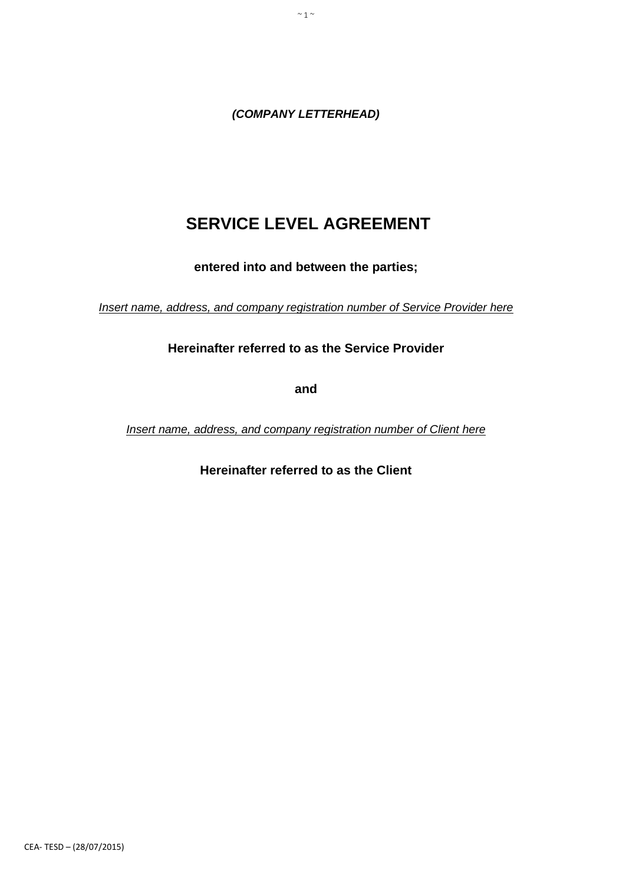*(COMPANY LETTERHEAD)*

 $\sim$  1  $\sim$ 

# **SERVICE LEVEL AGREEMENT**

**entered into and between the parties;**

*Insert name, address, and company registration number of Service Provider here*

**Hereinafter referred to as the Service Provider**

**and**

*Insert name, address, and company registration number of Client here*

**Hereinafter referred to as the Client**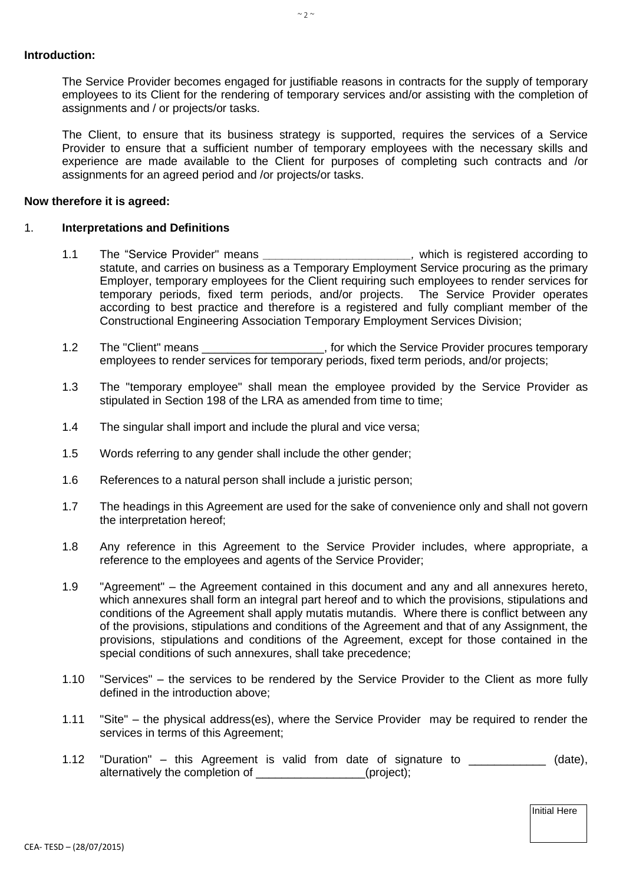The Service Provider becomes engaged for justifiable reasons in contracts for the supply of temporary employees to its Client for the rendering of temporary services and/or assisting with the completion of assignments and / or projects/or tasks.

The Client, to ensure that its business strategy is supported, requires the services of a Service Provider to ensure that a sufficient number of temporary employees with the necessary skills and experience are made available to the Client for purposes of completing such contracts and /or assignments for an agreed period and /or projects/or tasks.

### **Now therefore it is agreed:**

#### 1. **Interpretations and Definitions**

- 1.1 The "Service Provider" means *\_\_\_\_\_\_\_\_\_\_\_\_\_\_\_\_\_\_\_\_\_\_\_,* which is registered according to statute, and carries on business as a Temporary Employment Service procuring as the primary Employer, temporary employees for the Client requiring such employees to render services for temporary periods, fixed term periods, and/or projects. The Service Provider operates according to best practice and therefore is a registered and fully compliant member of the Constructional Engineering Association Temporary Employment Services Division;
- 1.2 The "Client" means \_\_\_\_\_\_\_\_\_\_\_\_\_\_\_\_\_\_\_\_, for which the Service Provider procures temporary employees to render services for temporary periods, fixed term periods, and/or projects;
- 1.3 The "temporary employee" shall mean the employee provided by the Service Provider as stipulated in Section 198 of the LRA as amended from time to time;
- 1.4 The singular shall import and include the plural and vice versa;
- 1.5 Words referring to any gender shall include the other gender;
- 1.6 References to a natural person shall include a juristic person;
- 1.7 The headings in this Agreement are used for the sake of convenience only and shall not govern the interpretation hereof;
- 1.8 Any reference in this Agreement to the Service Provider includes, where appropriate, a reference to the employees and agents of the Service Provider;
- 1.9 "Agreement" the Agreement contained in this document and any and all annexures hereto, which annexures shall form an integral part hereof and to which the provisions, stipulations and conditions of the Agreement shall apply mutatis mutandis. Where there is conflict between any of the provisions, stipulations and conditions of the Agreement and that of any Assignment, the provisions, stipulations and conditions of the Agreement, except for those contained in the special conditions of such annexures, shall take precedence;
- 1.10 "Services" the services to be rendered by the Service Provider to the Client as more fully defined in the introduction above;
- 1.11 "Site" the physical address(es), where the Service Provider may be required to render the services in terms of this Agreement;
- 1.12 "Duration" this Agreement is valid from date of signature to  $(date)$ , alternatively the completion of \_\_\_\_\_\_\_\_\_\_\_\_\_\_\_\_\_(project);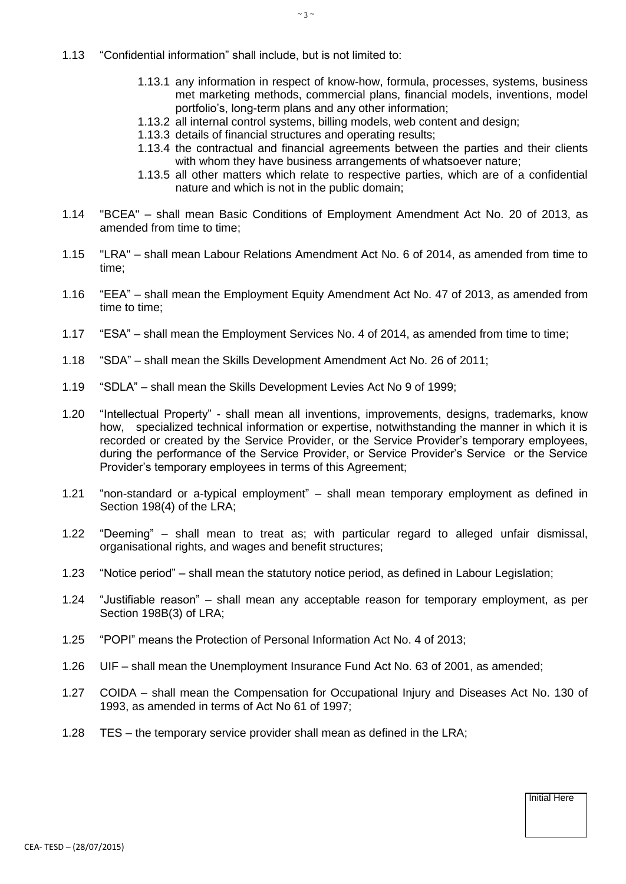- 1.13 "Confidential information" shall include, but is not limited to:
	- 1.13.1 any information in respect of know-how, formula, processes, systems, business met marketing methods, commercial plans, financial models, inventions, model portfolio's, long-term plans and any other information;
	- 1.13.2 all internal control systems, billing models, web content and design;
	- 1.13.3 details of financial structures and operating results;
	- 1.13.4 the contractual and financial agreements between the parties and their clients with whom they have business arrangements of whatsoever nature;
	- 1.13.5 all other matters which relate to respective parties, which are of a confidential nature and which is not in the public domain;
- 1.14 "BCEA" shall mean Basic Conditions of Employment Amendment Act No. 20 of 2013, as amended from time to time:
- 1.15 "LRA" shall mean Labour Relations Amendment Act No. 6 of 2014, as amended from time to time;
- 1.16 "EEA" shall mean the Employment Equity Amendment Act No. 47 of 2013, as amended from time to time;
- 1.17 "ESA" shall mean the Employment Services No. 4 of 2014, as amended from time to time;
- 1.18 "SDA" shall mean the Skills Development Amendment Act No. 26 of 2011;
- 1.19 "SDLA" shall mean the Skills Development Levies Act No 9 of 1999;
- 1.20 "Intellectual Property" shall mean all inventions, improvements, designs, trademarks, know how, specialized technical information or expertise, notwithstanding the manner in which it is recorded or created by the Service Provider, or the Service Provider's temporary employees, during the performance of the Service Provider, or Service Provider's Service or the Service Provider's temporary employees in terms of this Agreement;
- 1.21 "non-standard or a-typical employment" shall mean temporary employment as defined in Section 198(4) of the LRA;
- 1.22 "Deeming" shall mean to treat as; with particular regard to alleged unfair dismissal, organisational rights, and wages and benefit structures;
- 1.23 "Notice period" shall mean the statutory notice period, as defined in Labour Legislation;
- 1.24 "Justifiable reason" shall mean any acceptable reason for temporary employment, as per Section 198B(3) of LRA;
- 1.25 "POPI" means the Protection of Personal Information Act No. 4 of 2013;
- 1.26 UIF shall mean the Unemployment Insurance Fund Act No. 63 of 2001, as amended;
- 1.27 COIDA shall mean the Compensation for Occupational Injury and Diseases Act No. 130 of 1993, as amended in terms of Act No 61 of 1997;
- 1.28 TES the temporary service provider shall mean as defined in the LRA;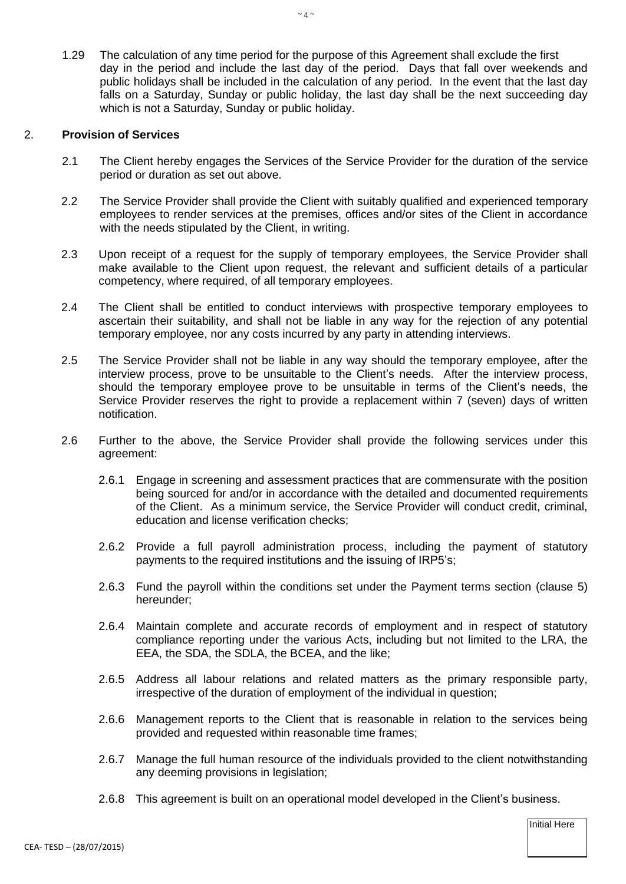1.29 The calculation of any time period for the purpose of this Agreement shall exclude the first day in the period and include the last day of the period. Days that fall over weekends and public holidays shall be included in the calculation of any period. In the event that the last day falls on a Saturday, Sunday or public holiday, the last day shall be the next succeeding day which is not a Saturday, Sunday or public holiday.

### 2. **Provision of Services**

- 2.1 The Client hereby engages the Services of the Service Provider for the duration of the service period or duration as set out above.
- 2.2 The Service Provider shall provide the Client with suitably qualified and experienced temporary employees to render services at the premises, offices and/or sites of the Client in accordance with the needs stipulated by the Client, in writing.
- 2.3 Upon receipt of a request for the supply of temporary employees, the Service Provider shall make available to the Client upon request, the relevant and sufficient details of a particular competency, where required, of all temporary employees.
- 2.4 The Client shall be entitled to conduct interviews with prospective temporary employees to ascertain their suitability, and shall not be liable in any way for the rejection of any potential temporary employee, nor any costs incurred by any party in attending interviews.
- 2.5 The Service Provider shall not be liable in any way should the temporary employee, after the interview process, prove to be unsuitable to the Client's needs. After the interview process, should the temporary employee prove to be unsuitable in terms of the Client's needs, the Service Provider reserves the right to provide a replacement within 7 (seven) days of written notification.
- 2.6 Further to the above, the Service Provider shall provide the following services under this agreement:
	- 2.6.1 Engage in screening and assessment practices that are commensurate with the position being sourced for and/or in accordance with the detailed and documented requirements of the Client. As a minimum service, the Service Provider will conduct credit, criminal, education and license verification checks;
	- 2.6.2 Provide a full payroll administration process, including the payment of statutory payments to the required institutions and the issuing of IRP5's;
	- 2.6.3 Fund the payroll within the conditions set under the Payment terms section (clause 5) hereunder;
	- 2.6.4 Maintain complete and accurate records of employment and in respect of statutory compliance reporting under the various Acts, including but not limited to the LRA, the EEA, the SDA, the SDLA, the BCEA, and the like;
	- 2.6.5 Address all labour relations and related matters as the primary responsible party, irrespective of the duration of employment of the individual in question;
	- 2.6.6 Management reports to the Client that is reasonable in relation to the services being provided and requested within reasonable time frames;
	- 2.6.7 Manage the full human resource of the individuals provided to the client notwithstanding any deeming provisions in legislation;
	- 2.6.8 This agreement is built on an operational model developed in the Client's business.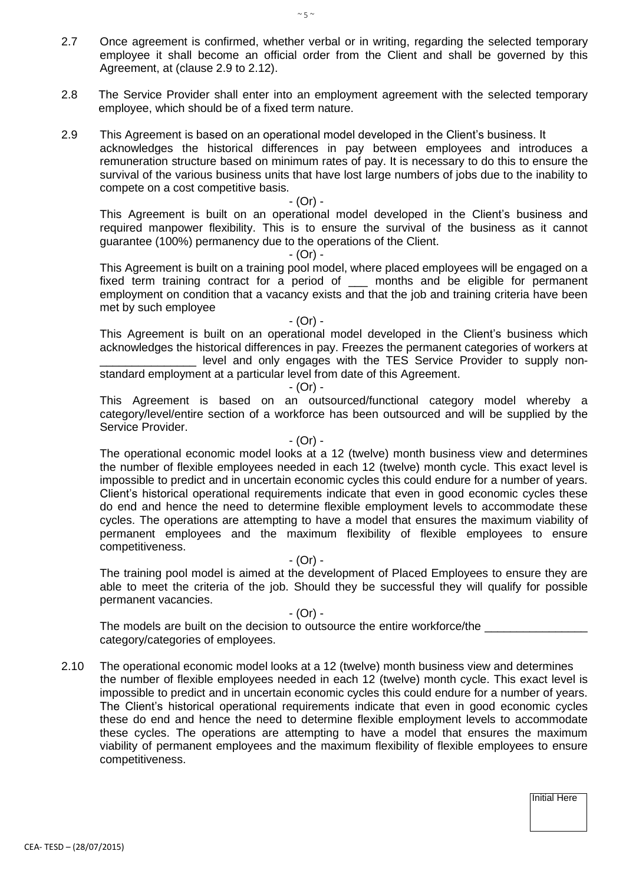- 2.7 Once agreement is confirmed, whether verbal or in writing, regarding the selected temporary employee it shall become an official order from the Client and shall be governed by this Agreement, at (clause 2.9 to 2.12).
- 2.8 The Service Provider shall enter into an employment agreement with the selected temporary employee, which should be of a fixed term nature.
- 2.9 This Agreement is based on an operational model developed in the Client's business. It acknowledges the historical differences in pay between employees and introduces a remuneration structure based on minimum rates of pay. It is necessary to do this to ensure the survival of the various business units that have lost large numbers of jobs due to the inability to compete on a cost competitive basis.

- (Or) -

This Agreement is built on an operational model developed in the Client's business and required manpower flexibility. This is to ensure the survival of the business as it cannot guarantee (100%) permanency due to the operations of the Client.

- (Or) -

This Agreement is built on a training pool model, where placed employees will be engaged on a fixed term training contract for a period of \_\_\_ months and be eligible for permanent employment on condition that a vacancy exists and that the job and training criteria have been met by such employee

- (Or) -

This Agreement is built on an operational model developed in the Client's business which acknowledges the historical differences in pay. Freezes the permanent categories of workers at \_\_\_\_\_\_\_\_\_\_\_\_\_\_\_ level and only engages with the TES Service Provider to supply non-

standard employment at a particular level from date of this Agreement.

- (Or) -

This Agreement is based on an outsourced/functional category model whereby a category/level/entire section of a workforce has been outsourced and will be supplied by the Service Provider.

#### - (Or) -

The operational economic model looks at a 12 (twelve) month business view and determines the number of flexible employees needed in each 12 (twelve) month cycle. This exact level is impossible to predict and in uncertain economic cycles this could endure for a number of years. Client's historical operational requirements indicate that even in good economic cycles these do end and hence the need to determine flexible employment levels to accommodate these cycles. The operations are attempting to have a model that ensures the maximum viability of permanent employees and the maximum flexibility of flexible employees to ensure competitiveness.

- (Or) -

The training pool model is aimed at the development of Placed Employees to ensure they are able to meet the criteria of the job. Should they be successful they will qualify for possible permanent vacancies.

- (Or) -

The models are built on the decision to outsource the entire workforce/the category/categories of employees.

2.10 The operational economic model looks at a 12 (twelve) month business view and determines the number of flexible employees needed in each 12 (twelve) month cycle. This exact level is impossible to predict and in uncertain economic cycles this could endure for a number of years. The Client's historical operational requirements indicate that even in good economic cycles these do end and hence the need to determine flexible employment levels to accommodate these cycles. The operations are attempting to have a model that ensures the maximum viability of permanent employees and the maximum flexibility of flexible employees to ensure competitiveness.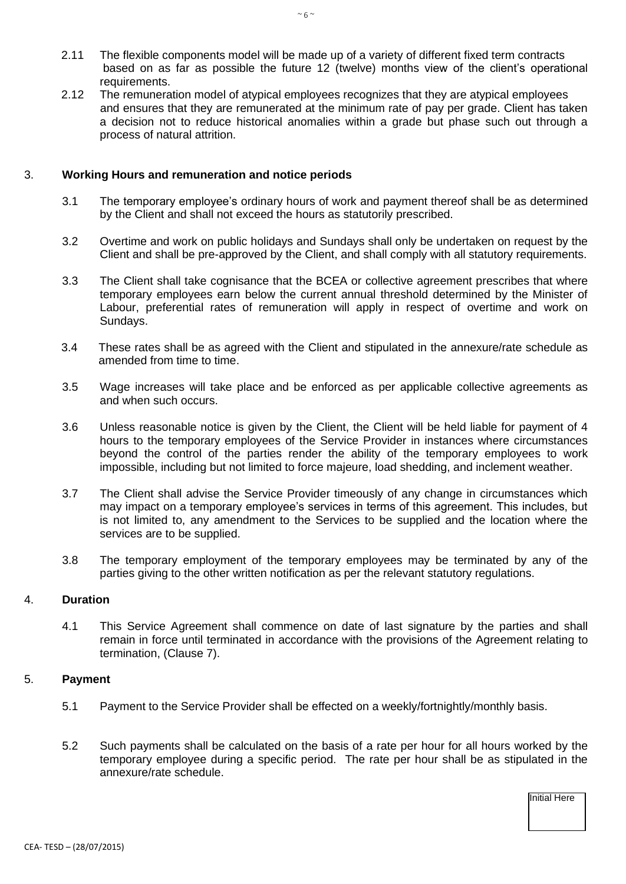- 2.11 The flexible components model will be made up of a variety of different fixed term contracts based on as far as possible the future 12 (twelve) months view of the client's operational requirements.
- 2.12 The remuneration model of atypical employees recognizes that they are atypical employees and ensures that they are remunerated at the minimum rate of pay per grade. Client has taken a decision not to reduce historical anomalies within a grade but phase such out through a process of natural attrition.

### 3. **Working Hours and remuneration and notice periods**

- 3.1 The temporary employee's ordinary hours of work and payment thereof shall be as determined by the Client and shall not exceed the hours as statutorily prescribed.
- 3.2 Overtime and work on public holidays and Sundays shall only be undertaken on request by the Client and shall be pre-approved by the Client, and shall comply with all statutory requirements.
- 3.3 The Client shall take cognisance that the BCEA or collective agreement prescribes that where temporary employees earn below the current annual threshold determined by the Minister of Labour, preferential rates of remuneration will apply in respect of overtime and work on Sundays.
- 3.4 These rates shall be as agreed with the Client and stipulated in the annexure/rate schedule as amended from time to time.
- 3.5 Wage increases will take place and be enforced as per applicable collective agreements as and when such occurs.
- 3.6 Unless reasonable notice is given by the Client, the Client will be held liable for payment of 4 hours to the temporary employees of the Service Provider in instances where circumstances beyond the control of the parties render the ability of the temporary employees to work impossible, including but not limited to force majeure, load shedding, and inclement weather.
- 3.7 The Client shall advise the Service Provider timeously of any change in circumstances which may impact on a temporary employee's services in terms of this agreement. This includes, but is not limited to, any amendment to the Services to be supplied and the location where the services are to be supplied.
- 3.8 The temporary employment of the temporary employees may be terminated by any of the parties giving to the other written notification as per the relevant statutory regulations.

#### 4. **Duration**

4.1 This Service Agreement shall commence on date of last signature by the parties and shall remain in force until terminated in accordance with the provisions of the Agreement relating to termination, (Clause 7).

#### 5. **Payment**

- 5.1 Payment to the Service Provider shall be effected on a weekly/fortnightly/monthly basis.
- 5.2 Such payments shall be calculated on the basis of a rate per hour for all hours worked by the temporary employee during a specific period. The rate per hour shall be as stipulated in the annexure/rate schedule.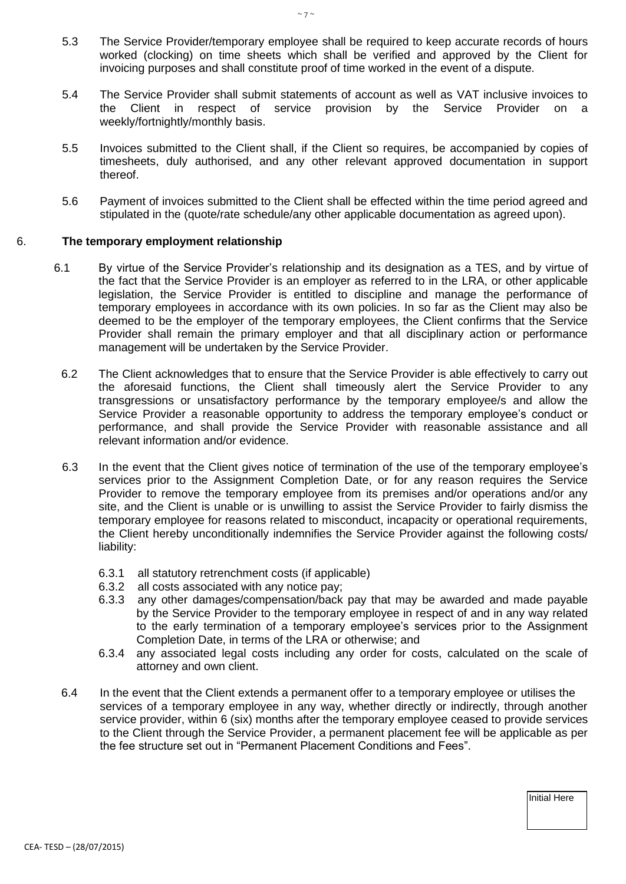- 5.3 The Service Provider/temporary employee shall be required to keep accurate records of hours worked (clocking) on time sheets which shall be verified and approved by the Client for invoicing purposes and shall constitute proof of time worked in the event of a dispute.
- 5.4 The Service Provider shall submit statements of account as well as VAT inclusive invoices to the Client in respect of service provision by the Service Provider on a weekly/fortnightly/monthly basis.
- 5.5 Invoices submitted to the Client shall, if the Client so requires, be accompanied by copies of timesheets, duly authorised, and any other relevant approved documentation in support thereof.
- 5.6 Payment of invoices submitted to the Client shall be effected within the time period agreed and stipulated in the (quote/rate schedule/any other applicable documentation as agreed upon).

### 6. **The temporary employment relationship**

- 6.1 By virtue of the Service Provider's relationship and its designation as a TES, and by virtue of the fact that the Service Provider is an employer as referred to in the LRA, or other applicable legislation, the Service Provider is entitled to discipline and manage the performance of temporary employees in accordance with its own policies. In so far as the Client may also be deemed to be the employer of the temporary employees, the Client confirms that the Service Provider shall remain the primary employer and that all disciplinary action or performance management will be undertaken by the Service Provider.
	- 6.2 The Client acknowledges that to ensure that the Service Provider is able effectively to carry out the aforesaid functions, the Client shall timeously alert the Service Provider to any transgressions or unsatisfactory performance by the temporary employee/s and allow the Service Provider a reasonable opportunity to address the temporary employee's conduct or performance, and shall provide the Service Provider with reasonable assistance and all relevant information and/or evidence.
	- 6.3 In the event that the Client gives notice of termination of the use of the temporary employee's services prior to the Assignment Completion Date, or for any reason requires the Service Provider to remove the temporary employee from its premises and/or operations and/or any site, and the Client is unable or is unwilling to assist the Service Provider to fairly dismiss the temporary employee for reasons related to misconduct, incapacity or operational requirements, the Client hereby unconditionally indemnifies the Service Provider against the following costs/ liability:
		- 6.3.1 all statutory retrenchment costs (if applicable)
		- 6.3.2 all costs associated with any notice pay;
		- 6.3.3 any other damages/compensation/back pay that may be awarded and made payable by the Service Provider to the temporary employee in respect of and in any way related to the early termination of a temporary employee's services prior to the Assignment Completion Date, in terms of the LRA or otherwise; and
		- 6.3.4 any associated legal costs including any order for costs, calculated on the scale of attorney and own client.
	- 6.4 In the event that the Client extends a permanent offer to a temporary employee or utilises the services of a temporary employee in any way, whether directly or indirectly, through another service provider, within 6 (six) months after the temporary employee ceased to provide services to the Client through the Service Provider, a permanent placement fee will be applicable as per the fee structure set out in "Permanent Placement Conditions and Fees".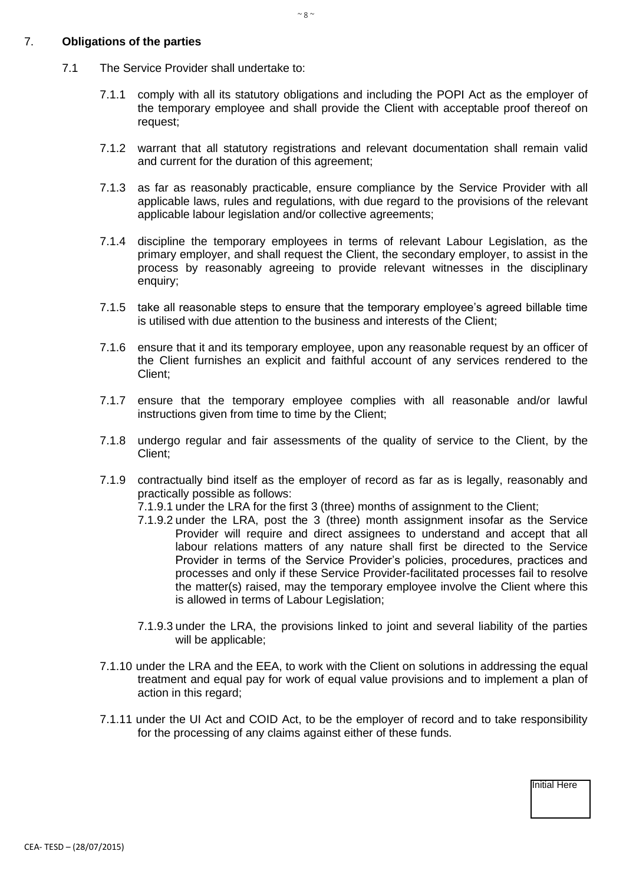### 7. **Obligations of the parties**

- 7.1 The Service Provider shall undertake to:
	- 7.1.1 comply with all its statutory obligations and including the POPI Act as the employer of the temporary employee and shall provide the Client with acceptable proof thereof on request;
	- 7.1.2 warrant that all statutory registrations and relevant documentation shall remain valid and current for the duration of this agreement;
	- 7.1.3 as far as reasonably practicable, ensure compliance by the Service Provider with all applicable laws, rules and regulations, with due regard to the provisions of the relevant applicable labour legislation and/or collective agreements;
	- 7.1.4 discipline the temporary employees in terms of relevant Labour Legislation, as the primary employer, and shall request the Client, the secondary employer, to assist in the process by reasonably agreeing to provide relevant witnesses in the disciplinary enquiry;
	- 7.1.5 take all reasonable steps to ensure that the temporary employee's agreed billable time is utilised with due attention to the business and interests of the Client;
	- 7.1.6 ensure that it and its temporary employee, upon any reasonable request by an officer of the Client furnishes an explicit and faithful account of any services rendered to the Client;
	- 7.1.7 ensure that the temporary employee complies with all reasonable and/or lawful instructions given from time to time by the Client;
	- 7.1.8 undergo regular and fair assessments of the quality of service to the Client, by the Client;
	- 7.1.9 contractually bind itself as the employer of record as far as is legally, reasonably and practically possible as follows:
		- 7.1.9.1 under the LRA for the first 3 (three) months of assignment to the Client;
		- 7.1.9.2 under the LRA, post the 3 (three) month assignment insofar as the Service Provider will require and direct assignees to understand and accept that all labour relations matters of any nature shall first be directed to the Service Provider in terms of the Service Provider's policies, procedures, practices and processes and only if these Service Provider-facilitated processes fail to resolve the matter(s) raised, may the temporary employee involve the Client where this is allowed in terms of Labour Legislation;
		- 7.1.9.3 under the LRA, the provisions linked to joint and several liability of the parties will be applicable;
	- 7.1.10 under the LRA and the EEA, to work with the Client on solutions in addressing the equal treatment and equal pay for work of equal value provisions and to implement a plan of action in this regard;
	- 7.1.11 under the UI Act and COID Act, to be the employer of record and to take responsibility for the processing of any claims against either of these funds.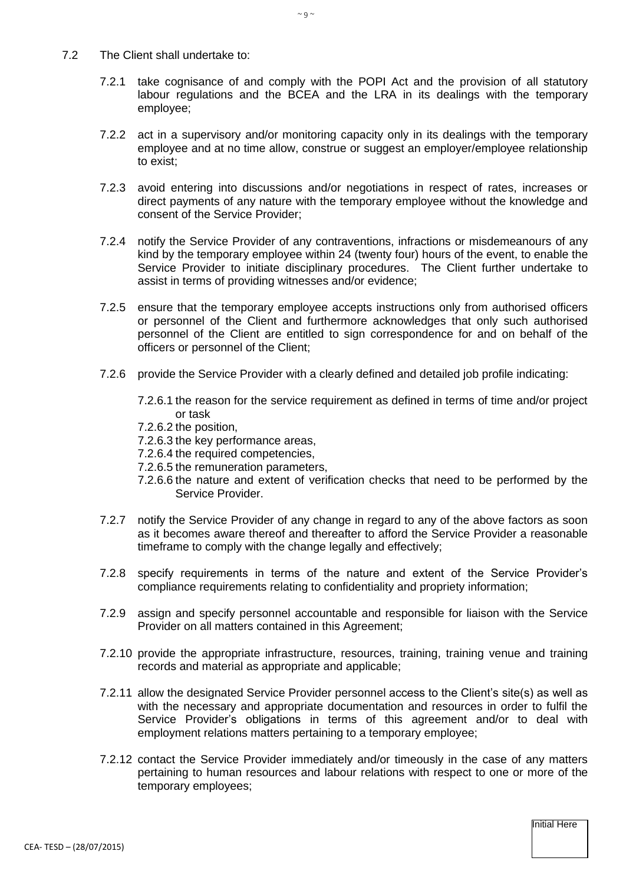- 7.2 The Client shall undertake to:
	- 7.2.1 take cognisance of and comply with the POPI Act and the provision of all statutory labour regulations and the BCEA and the LRA in its dealings with the temporary employee;
	- 7.2.2 act in a supervisory and/or monitoring capacity only in its dealings with the temporary employee and at no time allow, construe or suggest an employer/employee relationship to exist;
	- 7.2.3 avoid entering into discussions and/or negotiations in respect of rates, increases or direct payments of any nature with the temporary employee without the knowledge and consent of the Service Provider;
	- 7.2.4 notify the Service Provider of any contraventions, infractions or misdemeanours of any kind by the temporary employee within 24 (twenty four) hours of the event, to enable the Service Provider to initiate disciplinary procedures. The Client further undertake to assist in terms of providing witnesses and/or evidence;
	- 7.2.5 ensure that the temporary employee accepts instructions only from authorised officers or personnel of the Client and furthermore acknowledges that only such authorised personnel of the Client are entitled to sign correspondence for and on behalf of the officers or personnel of the Client;
	- 7.2.6 provide the Service Provider with a clearly defined and detailed job profile indicating:
		- 7.2.6.1 the reason for the service requirement as defined in terms of time and/or project or task
		- 7.2.6.2 the position,
		- 7.2.6.3 the key performance areas,
		- 7.2.6.4 the required competencies,
		- 7.2.6.5 the remuneration parameters,
		- 7.2.6.6 the nature and extent of verification checks that need to be performed by the Service Provider.
	- 7.2.7 notify the Service Provider of any change in regard to any of the above factors as soon as it becomes aware thereof and thereafter to afford the Service Provider a reasonable timeframe to comply with the change legally and effectively;
	- 7.2.8 specify requirements in terms of the nature and extent of the Service Provider's compliance requirements relating to confidentiality and propriety information;
	- 7.2.9 assign and specify personnel accountable and responsible for liaison with the Service Provider on all matters contained in this Agreement;
	- 7.2.10 provide the appropriate infrastructure, resources, training, training venue and training records and material as appropriate and applicable;
	- 7.2.11 allow the designated Service Provider personnel access to the Client's site(s) as well as with the necessary and appropriate documentation and resources in order to fulfil the Service Provider's obligations in terms of this agreement and/or to deal with employment relations matters pertaining to a temporary employee;
	- 7.2.12 contact the Service Provider immediately and/or timeously in the case of any matters pertaining to human resources and labour relations with respect to one or more of the temporary employees;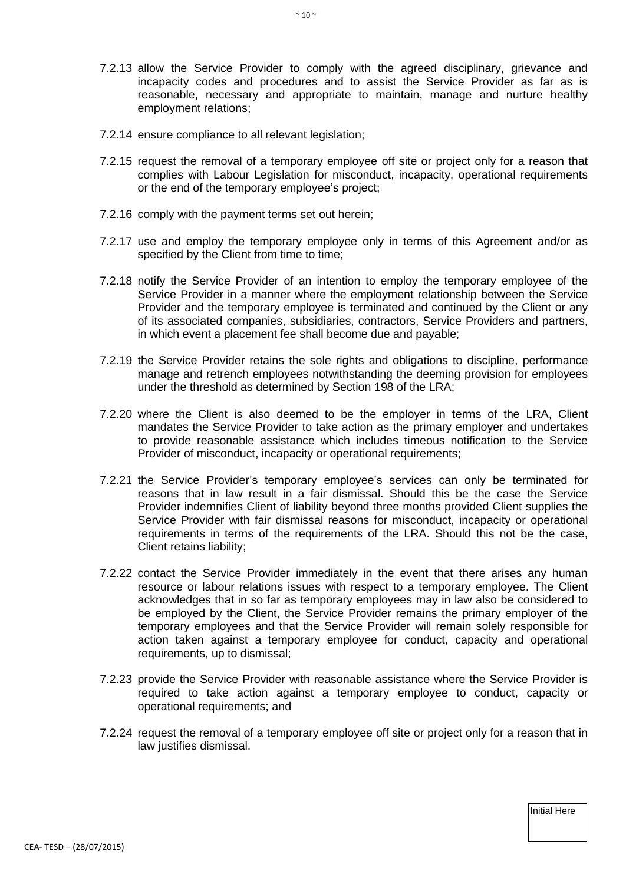- 7.2.13 allow the Service Provider to comply with the agreed disciplinary, grievance and incapacity codes and procedures and to assist the Service Provider as far as is reasonable, necessary and appropriate to maintain, manage and nurture healthy employment relations;
- 7.2.14 ensure compliance to all relevant legislation;
- 7.2.15 request the removal of a temporary employee off site or project only for a reason that complies with Labour Legislation for misconduct, incapacity, operational requirements or the end of the temporary employee's project;
- 7.2.16 comply with the payment terms set out herein;
- 7.2.17 use and employ the temporary employee only in terms of this Agreement and/or as specified by the Client from time to time;
- 7.2.18 notify the Service Provider of an intention to employ the temporary employee of the Service Provider in a manner where the employment relationship between the Service Provider and the temporary employee is terminated and continued by the Client or any of its associated companies, subsidiaries, contractors, Service Providers and partners, in which event a placement fee shall become due and payable;
- 7.2.19 the Service Provider retains the sole rights and obligations to discipline, performance manage and retrench employees notwithstanding the deeming provision for employees under the threshold as determined by Section 198 of the LRA;
- 7.2.20 where the Client is also deemed to be the employer in terms of the LRA, Client mandates the Service Provider to take action as the primary employer and undertakes to provide reasonable assistance which includes timeous notification to the Service Provider of misconduct, incapacity or operational requirements;
- 7.2.21 the Service Provider's temporary employee's services can only be terminated for reasons that in law result in a fair dismissal. Should this be the case the Service Provider indemnifies Client of liability beyond three months provided Client supplies the Service Provider with fair dismissal reasons for misconduct, incapacity or operational requirements in terms of the requirements of the LRA. Should this not be the case, Client retains liability;
- 7.2.22 contact the Service Provider immediately in the event that there arises any human resource or labour relations issues with respect to a temporary employee. The Client acknowledges that in so far as temporary employees may in law also be considered to be employed by the Client, the Service Provider remains the primary employer of the temporary employees and that the Service Provider will remain solely responsible for action taken against a temporary employee for conduct, capacity and operational requirements, up to dismissal;
- 7.2.23 provide the Service Provider with reasonable assistance where the Service Provider is required to take action against a temporary employee to conduct, capacity or operational requirements; and
- 7.2.24 request the removal of a temporary employee off site or project only for a reason that in law justifies dismissal.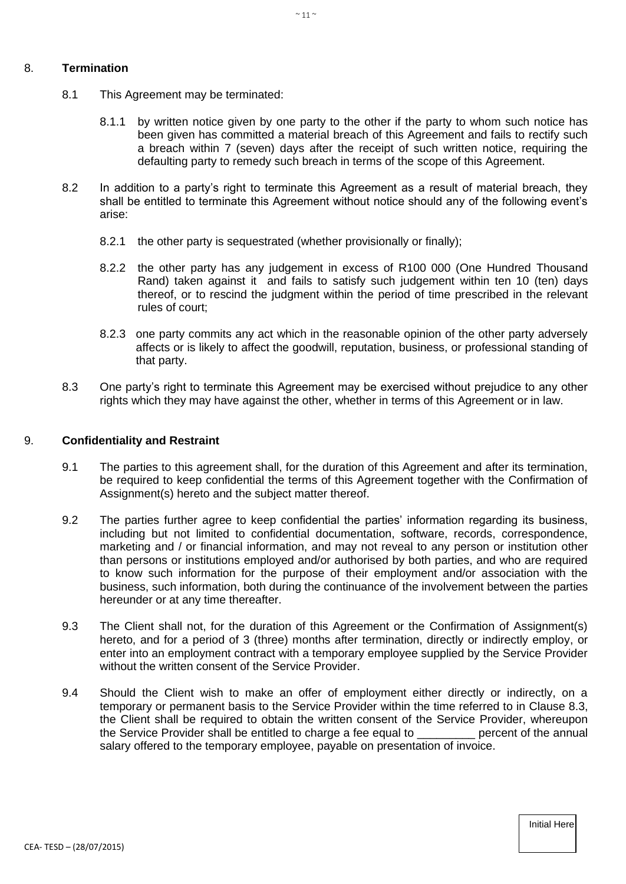### 8. **Termination**

- 8.1 This Agreement may be terminated:
	- 8.1.1 by written notice given by one party to the other if the party to whom such notice has been given has committed a material breach of this Agreement and fails to rectify such a breach within 7 (seven) days after the receipt of such written notice, requiring the defaulting party to remedy such breach in terms of the scope of this Agreement.
- 8.2 In addition to a party's right to terminate this Agreement as a result of material breach, they shall be entitled to terminate this Agreement without notice should any of the following event's arise:
	- 8.2.1 the other party is sequestrated (whether provisionally or finally);
	- 8.2.2 the other party has any judgement in excess of R100 000 (One Hundred Thousand Rand) taken against it and fails to satisfy such judgement within ten 10 (ten) days thereof, or to rescind the judgment within the period of time prescribed in the relevant rules of court;
	- 8.2.3 one party commits any act which in the reasonable opinion of the other party adversely affects or is likely to affect the goodwill, reputation, business, or professional standing of that party.
- 8.3 One party's right to terminate this Agreement may be exercised without prejudice to any other rights which they may have against the other, whether in terms of this Agreement or in law.

#### 9. **Confidentiality and Restraint**

- 9.1 The parties to this agreement shall, for the duration of this Agreement and after its termination, be required to keep confidential the terms of this Agreement together with the Confirmation of Assignment(s) hereto and the subject matter thereof.
- 9.2 The parties further agree to keep confidential the parties' information regarding its business, including but not limited to confidential documentation, software, records, correspondence, marketing and / or financial information, and may not reveal to any person or institution other than persons or institutions employed and/or authorised by both parties, and who are required to know such information for the purpose of their employment and/or association with the business, such information, both during the continuance of the involvement between the parties hereunder or at any time thereafter.
- 9.3 The Client shall not, for the duration of this Agreement or the Confirmation of Assignment(s) hereto, and for a period of 3 (three) months after termination, directly or indirectly employ, or enter into an employment contract with a temporary employee supplied by the Service Provider without the written consent of the Service Provider.
- 9.4 Should the Client wish to make an offer of employment either directly or indirectly, on a temporary or permanent basis to the Service Provider within the time referred to in Clause 8.3, the Client shall be required to obtain the written consent of the Service Provider, whereupon<br>the Service Provider shall be entitled to charge a fee equal to bercent of the annual the Service Provider shall be entitled to charge a fee equal to salary offered to the temporary employee, payable on presentation of invoice.

 $\sim$  11  $\sim$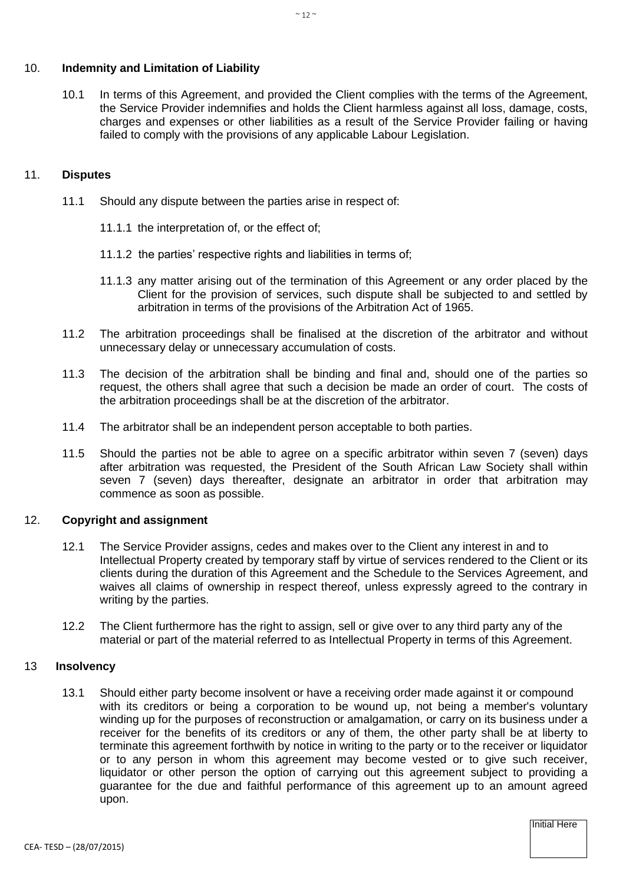# 10. **Indemnity and Limitation of Liability**

10.1 In terms of this Agreement, and provided the Client complies with the terms of the Agreement, the Service Provider indemnifies and holds the Client harmless against all loss, damage, costs, charges and expenses or other liabilities as a result of the Service Provider failing or having failed to comply with the provisions of any applicable Labour Legislation.

## 11. **Disputes**

- 11.1 Should any dispute between the parties arise in respect of:
	- 11.1.1 the interpretation of, or the effect of;
	- 11.1.2 the parties' respective rights and liabilities in terms of;
	- 11.1.3 any matter arising out of the termination of this Agreement or any order placed by the Client for the provision of services, such dispute shall be subjected to and settled by arbitration in terms of the provisions of the Arbitration Act of 1965.
- 11.2 The arbitration proceedings shall be finalised at the discretion of the arbitrator and without unnecessary delay or unnecessary accumulation of costs.
- 11.3 The decision of the arbitration shall be binding and final and, should one of the parties so request, the others shall agree that such a decision be made an order of court. The costs of the arbitration proceedings shall be at the discretion of the arbitrator.
- 11.4 The arbitrator shall be an independent person acceptable to both parties.
- 11.5 Should the parties not be able to agree on a specific arbitrator within seven 7 (seven) days after arbitration was requested, the President of the South African Law Society shall within seven 7 (seven) days thereafter, designate an arbitrator in order that arbitration may commence as soon as possible.

# 12. **Copyright and assignment**

- 12.1 The Service Provider assigns, cedes and makes over to the Client any interest in and to Intellectual Property created by temporary staff by virtue of services rendered to the Client or its clients during the duration of this Agreement and the Schedule to the Services Agreement, and waives all claims of ownership in respect thereof, unless expressly agreed to the contrary in writing by the parties.
- 12.2 The Client furthermore has the right to assign, sell or give over to any third party any of the material or part of the material referred to as Intellectual Property in terms of this Agreement.

# 13 **Insolvency**

13.1 Should either party become insolvent or have a receiving order made against it or compound with its creditors or being a corporation to be wound up, not being a member's voluntary winding up for the purposes of reconstruction or amalgamation, or carry on its business under a receiver for the benefits of its creditors or any of them, the other party shall be at liberty to terminate this agreement forthwith by notice in writing to the party or to the receiver or liquidator or to any person in whom this agreement may become vested or to give such receiver, liquidator or other person the option of carrying out this agreement subject to providing a guarantee for the due and faithful performance of this agreement up to an amount agreed upon.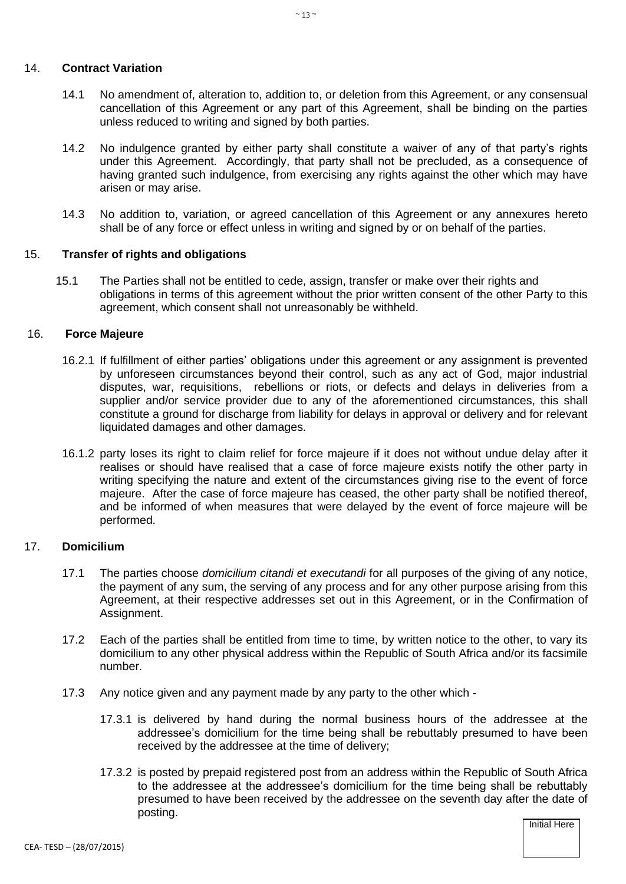#### 14. **Contract Variation**

- 14.1 No amendment of, alteration to, addition to, or deletion from this Agreement, or any consensual cancellation of this Agreement or any part of this Agreement, shall be binding on the parties unless reduced to writing and signed by both parties.
- 14.2 No indulgence granted by either party shall constitute a waiver of any of that party's rights under this Agreement. Accordingly, that party shall not be precluded, as a consequence of having granted such indulgence, from exercising any rights against the other which may have arisen or may arise.
- 14.3 No addition to, variation, or agreed cancellation of this Agreement or any annexures hereto shall be of any force or effect unless in writing and signed by or on behalf of the parties.

### 15. **Transfer of rights and obligations**

15.1 The Parties shall not be entitled to cede, assign, transfer or make over their rights and obligations in terms of this agreement without the prior written consent of the other Party to this agreement, which consent shall not unreasonably be withheld.

### 16. **Force Majeure**

- 16.2.1 If fulfillment of either parties' obligations under this agreement or any assignment is prevented by unforeseen circumstances beyond their control, such as any act of God, major industrial disputes, war, requisitions, rebellions or riots, or defects and delays in deliveries from a supplier and/or service provider due to any of the aforementioned circumstances, this shall constitute a ground for discharge from liability for delays in approval or delivery and for relevant liquidated damages and other damages.
- 16.1.2 party loses its right to claim relief for force majeure if it does not without undue delay after it realises or should have realised that a case of force majeure exists notify the other party in writing specifying the nature and extent of the circumstances giving rise to the event of force majeure. After the case of force majeure has ceased, the other party shall be notified thereof, and be informed of when measures that were delayed by the event of force majeure will be performed.

### 17. **Domicilium**

- 17.1 The parties choose *domicilium citandi et executandi* for all purposes of the giving of any notice, the payment of any sum, the serving of any process and for any other purpose arising from this Agreement, at their respective addresses set out in this Agreement, or in the Confirmation of Assignment.
- 17.2 Each of the parties shall be entitled from time to time, by written notice to the other, to vary its domicilium to any other physical address within the Republic of South Africa and/or its facsimile number.
- 17.3 Any notice given and any payment made by any party to the other which
	- 17.3.1 is delivered by hand during the normal business hours of the addressee at the addressee's domicilium for the time being shall be rebuttably presumed to have been received by the addressee at the time of delivery;
	- 17.3.2 is posted by prepaid registered post from an address within the Republic of South Africa to the addressee at the addressee's domicilium for the time being shall be rebuttably presumed to have been received by the addressee on the seventh day after the date of posting.

**Initial Here Initial Here Initial Here**